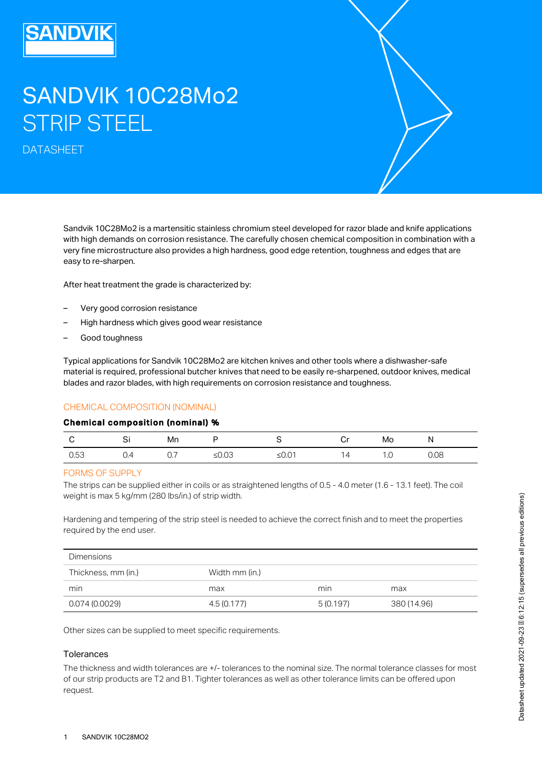# SANDVIK 10C28Mo2 STRIP STEEL

DATASHEET

Sandvik 10C28Mo2 is a martensitic stainless chromium steel developed for razor blade and knife applications with high demands on corrosion resistance. The carefully chosen chemical composition in combination with a very fine microstructure also provides a high hardness, good edge retention, toughness and edges that are easy to re-sharpen.

After heat treatment the grade is characterized by:

- Very good corrosion resistance
- High hardness which gives good wear resistance
- Good toughness

Typical applications for Sandvik 10C28Mo2 are kitchen knives and other tools where a dishwasher-safe material is required, professional butcher knives that need to be easily re-sharpened, outdoor knives, medical blades and razor blades, with high requirements on corrosion resistance and toughness.

# CHEMICAL COMPOSITION (NOMINAL)

#### Chemical composition (nominal) %

| C Si |     | Mn  | P S   |                 | Mo  | N    |
|------|-----|-----|-------|-----------------|-----|------|
| 0.53 | O.4 | 0.7 | ≤0.03 | $\overline{14}$ | 1.0 | 0.08 |

#### FORMS OF SUPPLY

The strips can be supplied either in coils or as straightened lengths of 0.5 - 4.0 meter (1.6 - 13.1 feet). The coil weight is max 5 kg/mm (280 lbs/in.) of strip width.

Hardening and tempering of the strip steel is needed to achieve the correct finish and to meet the properties required by the end user.

| <b>Dimensions</b>   |                |          |             |
|---------------------|----------------|----------|-------------|
| Thickness, mm (in.) | Width mm (in.) |          |             |
| min                 | max            | min      | max         |
| 0.074(0.0029)       | 4.5 (0.177)    | 5(0.197) | 380 (14.96) |

Other sizes can be supplied to meet specific requirements.

## Tolerances

The thickness and width tolerances are +/- tolerances to the nominal size. The normal tolerance classes for most of our strip products are T2 and B1. Tighter tolerances as well as other tolerance limits can be offered upon request.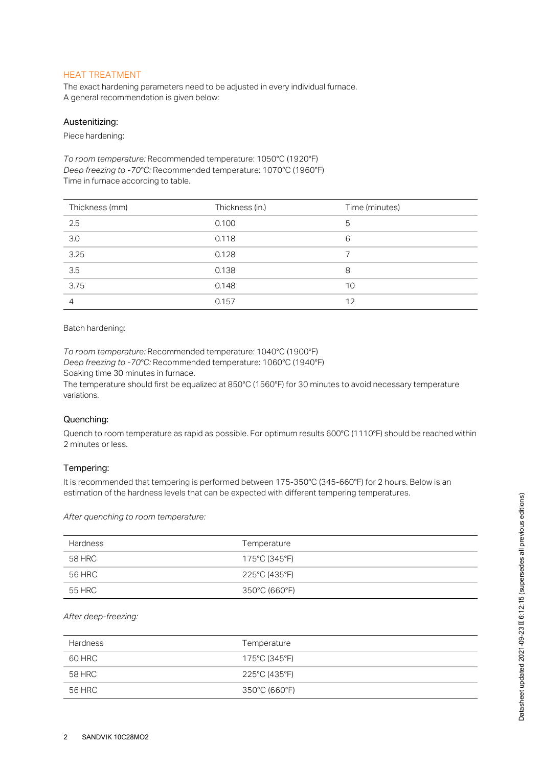# HEAT TREATMENT

The exact hardening parameters need to be adjusted in every individual furnace. A general recommendation is given below:

#### Austenitizing:

Piece hardening:

*To room temperature:* Recommended temperature: 1050°C (1920°F) *Deep freezing to -70°C:* Recommended temperature: 1070°C (1960°F) Time in furnace according to table.

| Thickness (mm)                              | Thickness (in.) | Time (minutes) |
|---------------------------------------------|-----------------|----------------|
| 2.5                                         | 0.100           | 5              |
| $\frac{1}{3.0}$<br>$\overline{\phantom{0}}$ | 0.118           | 6              |
| 3.25                                        | 0.128           |                |
| $\frac{1}{3.5}$                             | 0.138           | 8              |
| 3.75                                        | 0.148           | 10             |
| 4                                           | 0.157           | 12             |

## Batch hardening:

*To room temperature:* Recommended temperature: 1040°C (1900°F) *Deep freezing to -70°C:* Recommended temperature: 1060°C (1940°F) Soaking time 30 minutes in furnace.

The temperature should first be equalized at 850°C (1560°F) for 30 minutes to avoid necessary temperature variations.

## Quenching:

Quench to room temperature as rapid as possible. For optimum results 600°C (1110°F) should be reached within 2 minutes or less.

#### Tempering:

It is recommended that tempering is performed between 175-350°C (345-660°F) for 2 hours. Below is an estimation of the hardness levels that can be expected with different tempering temperatures.

*After quenching to room temperature:*

| <b>Hardness</b> | Temperature   |
|-----------------|---------------|
| 58 HRC          | 175°C (345°F) |
| 56 HRC          | 225°C (435°F) |
| 55 HRC          | 350°C (660°F) |

## *After deep-freezing:*

| <b>Hardness</b> | Temperature   |
|-----------------|---------------|
| 60 HRC          | 175°C (345°F) |
| 58 HRC          | 225°C (435°F) |
| 56 HRC          | 350°C (660°F) |